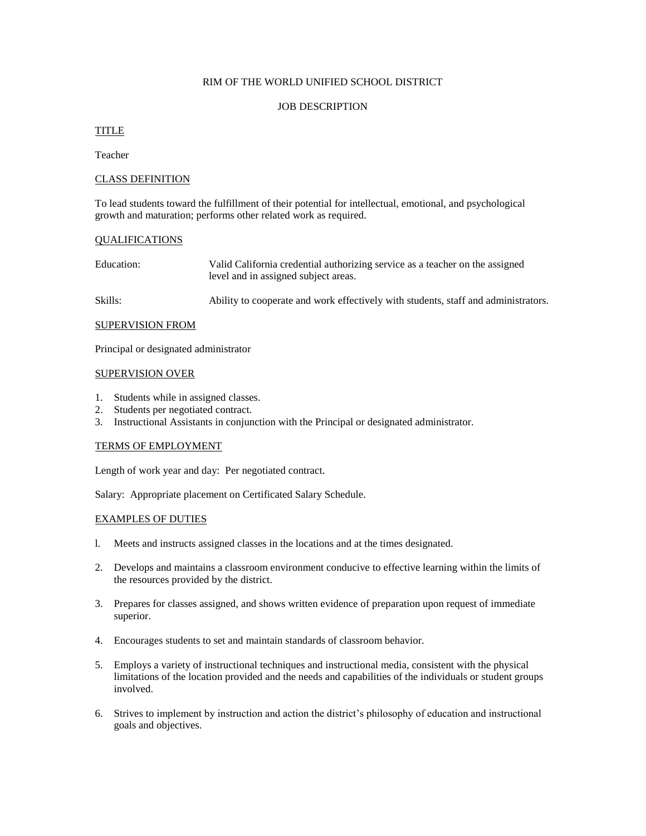### RIM OF THE WORLD UNIFIED SCHOOL DISTRICT

## JOB DESCRIPTION

# TITLE

Teacher

## CLASS DEFINITION

To lead students toward the fulfillment of their potential for intellectual, emotional, and psychological growth and maturation; performs other related work as required.

### QUALIFICATIONS

| Education: | Valid California credential authorizing service as a teacher on the assigned |
|------------|------------------------------------------------------------------------------|
|            | level and in assigned subject areas.                                         |

Skills: Ability to cooperate and work effectively with students, staff and administrators.

### SUPERVISION FROM

Principal or designated administrator

#### SUPERVISION OVER

- 1. Students while in assigned classes.
- 2. Students per negotiated contract.
- 3. Instructional Assistants in conjunction with the Principal or designated administrator.

### TERMS OF EMPLOYMENT

Length of work year and day: Per negotiated contract.

Salary: Appropriate placement on Certificated Salary Schedule.

### EXAMPLES OF DUTIES

- l. Meets and instructs assigned classes in the locations and at the times designated.
- 2. Develops and maintains a classroom environment conducive to effective learning within the limits of the resources provided by the district.
- 3. Prepares for classes assigned, and shows written evidence of preparation upon request of immediate superior.
- 4. Encourages students to set and maintain standards of classroom behavior.
- 5. Employs a variety of instructional techniques and instructional media, consistent with the physical limitations of the location provided and the needs and capabilities of the individuals or student groups involved.
- 6. Strives to implement by instruction and action the district's philosophy of education and instructional goals and objectives.